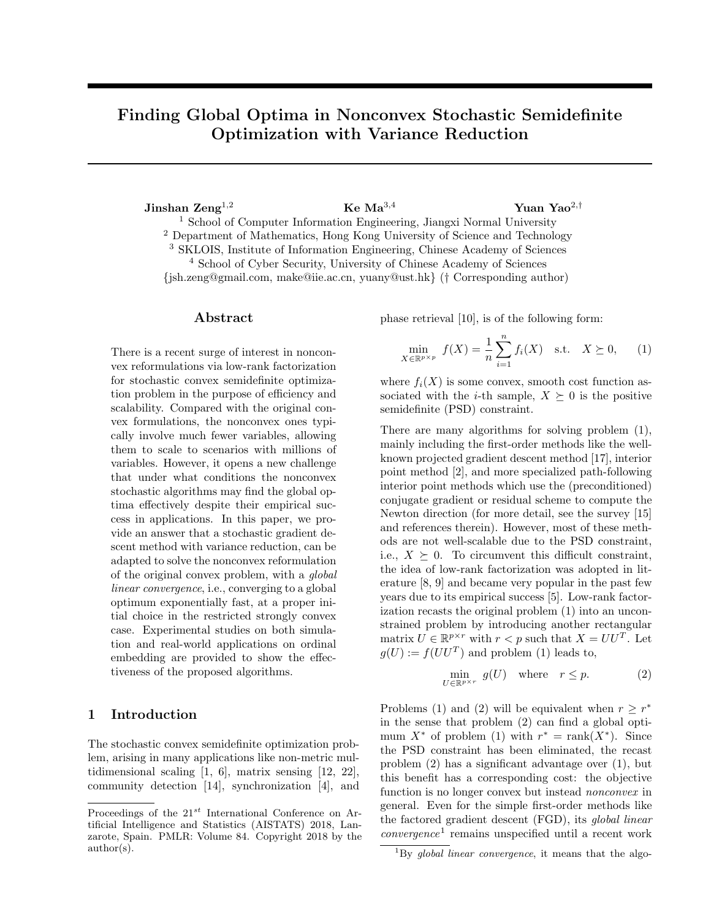# Finding Global Optima in Nonconvex Stochastic Semidefinite Optimization with Variance Reduction

Jinshan  $\mathrm{Zeng}^{1,2}$  Ke  $\mathrm{Ma}^{3,4}$  Yuan Yao<sup>2,†</sup> <sup>1</sup> School of Computer Information Engineering, Jiangxi Normal University <sup>2</sup> Department of Mathematics, Hong Kong University of Science and Technology <sup>3</sup> SKLOIS, Institute of Information Engineering, Chinese Academy of Sciences <sup>4</sup> School of Cyber Security, University of Chinese Academy of Sciences {jsh.zeng@gmail.com, make@iie.ac.cn, yuany@ust.hk} († Corresponding author)

#### Abstract

There is a recent surge of interest in nonconvex reformulations via low-rank factorization for stochastic convex semidefinite optimization problem in the purpose of efficiency and scalability. Compared with the original convex formulations, the nonconvex ones typically involve much fewer variables, allowing them to scale to scenarios with millions of variables. However, it opens a new challenge that under what conditions the nonconvex stochastic algorithms may find the global optima effectively despite their empirical success in applications. In this paper, we provide an answer that a stochastic gradient descent method with variance reduction, can be adapted to solve the nonconvex reformulation of the original convex problem, with a global linear convergence, i.e., converging to a global optimum exponentially fast, at a proper initial choice in the restricted strongly convex case. Experimental studies on both simulation and real-world applications on ordinal embedding are provided to show the effectiveness of the proposed algorithms.

## 1 Introduction

The stochastic convex semidefinite optimization problem, arising in many applications like non-metric multidimensional scaling [1, 6], matrix sensing [12, 22], community detection [14], synchronization [4], and phase retrieval [10], is of the following form:

$$
\min_{X \in \mathbb{R}^{p \times p}} f(X) = \frac{1}{n} \sum_{i=1}^{n} f_i(X) \quad \text{s.t.} \quad X \succeq 0, \qquad (1)
$$

where  $f_i(X)$  is some convex, smooth cost function associated with the *i*-th sample,  $X \succeq 0$  is the positive semidefinite (PSD) constraint.

There are many algorithms for solving problem  $(1)$ , mainly including the first-order methods like the wellknown projected gradient descent method [17], interior point method [2], and more specialized path-following interior point methods which use the (preconditioned) conjugate gradient or residual scheme to compute the Newton direction (for more detail, see the survey [15] and references therein). However, most of these methods are not well-scalable due to the PSD constraint, i.e.,  $X \succeq 0$ . To circumvent this difficult constraint, the idea of low-rank factorization was adopted in literature [8, 9] and became very popular in the past few years due to its empirical success [5]. Low-rank factorization recasts the original problem (1) into an unconstrained problem by introducing another rectangular matrix  $U \in \mathbb{R}^{p \times r}$  with  $r < p$  such that  $X = U U^T$ . Let  $g(U) := f(UU^T)$  and problem (1) leads to,

$$
\min_{U \in \mathbb{R}^{p \times r}} g(U) \quad \text{where} \quad r \le p. \tag{2}
$$

Problems (1) and (2) will be equivalent when  $r \geq r^*$ in the sense that problem (2) can find a global optimum  $X^*$  of problem (1) with  $r^* = \text{rank}(X^*)$ . Since the PSD constraint has been eliminated, the recast problem (2) has a significant advantage over (1), but this benefit has a corresponding cost: the objective function is no longer convex but instead nonconvex in general. Even for the simple first-order methods like the factored gradient descent (FGD), its global linear  $convergence<sup>1</sup>$  remains unspecified until a recent work

Proceedings of the  $21^{st}$  International Conference on Artificial Intelligence and Statistics (AISTATS) 2018, Lanzarote, Spain. PMLR: Volume 84. Copyright 2018 by the author(s).

 ${}^{1}_{1}$ By global linear convergence, it means that the algo-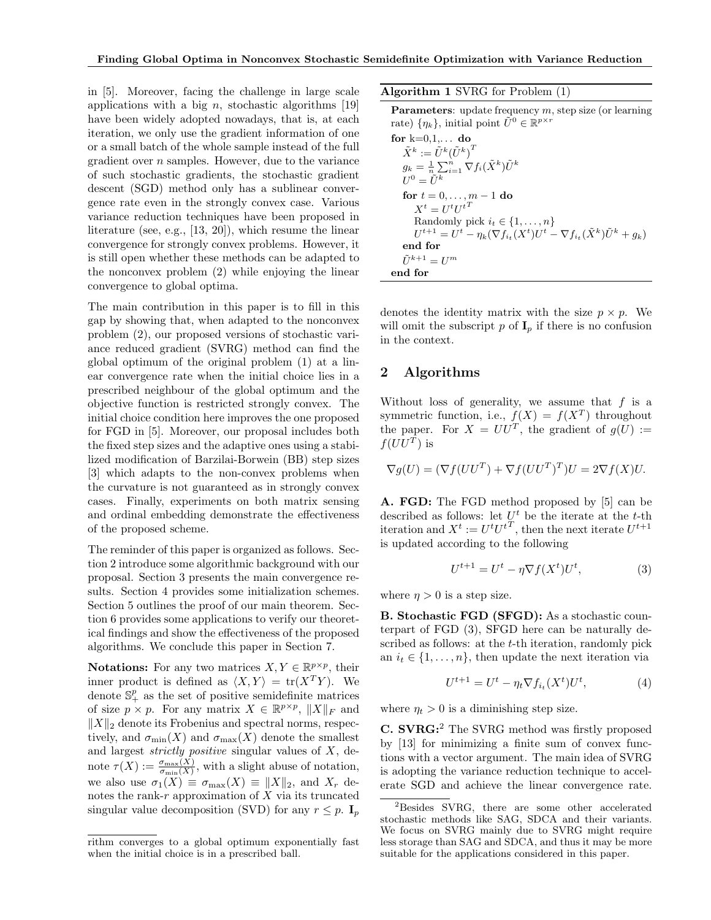in [5]. Moreover, facing the challenge in large scale applications with a big  $n$ , stochastic algorithms [19] have been widely adopted nowadays, that is, at each iteration, we only use the gradient information of one or a small batch of the whole sample instead of the full gradient over n samples. However, due to the variance of such stochastic gradients, the stochastic gradient descent (SGD) method only has a sublinear convergence rate even in the strongly convex case. Various variance reduction techniques have been proposed in literature (see, e.g., [13, 20]), which resume the linear convergence for strongly convex problems. However, it is still open whether these methods can be adapted to the nonconvex problem (2) while enjoying the linear convergence to global optima.

The main contribution in this paper is to fill in this gap by showing that, when adapted to the nonconvex problem (2), our proposed versions of stochastic variance reduced gradient (SVRG) method can find the global optimum of the original problem (1) at a linear convergence rate when the initial choice lies in a prescribed neighbour of the global optimum and the objective function is restricted strongly convex. The initial choice condition here improves the one proposed for FGD in [5]. Moreover, our proposal includes both the fixed step sizes and the adaptive ones using a stabilized modification of Barzilai-Borwein (BB) step sizes [3] which adapts to the non-convex problems when the curvature is not guaranteed as in strongly convex cases. Finally, experiments on both matrix sensing and ordinal embedding demonstrate the effectiveness of the proposed scheme.

The reminder of this paper is organized as follows. Section 2 introduce some algorithmic background with our proposal. Section 3 presents the main convergence results. Section 4 provides some initialization schemes. Section 5 outlines the proof of our main theorem. Section 6 provides some applications to verify our theoretical findings and show the effectiveness of the proposed algorithms. We conclude this paper in Section 7.

**Notations:** For any two matrices  $X, Y \in \mathbb{R}^{p \times p}$ , their inner product is defined as  $\langle X, Y \rangle = \text{tr}(X^T Y)$ . We denote  $\mathbb{S}^p_+$  as the set of positive semidefinite matrices of size  $p \times p$ . For any matrix  $X \in \mathbb{R}^{p \times p}$ ,  $||X||_F$  and  $||X||_2$  denote its Frobenius and spectral norms, respectively, and  $\sigma_{\min}(X)$  and  $\sigma_{\max}(X)$  denote the smallest and largest strictly positive singular values of X, denote  $\tau(X) := \frac{\sigma_{\max}(X)}{\sigma_{\min}(X)}$ , with a slight abuse of notation, we also use  $\sigma_1(X) \equiv \sigma_{\max}(X) \equiv ||X||_2$ , and  $X_r$  denotes the rank- $r$  approximation of  $X$  via its truncated singular value decomposition (SVD) for any  $r \leq p$ .  $\mathbf{I}_p$ 

Algorithm 1 SVRG for Problem (1)

**Parameters:** update frequency  $m$ , step size (or learning rate)  $\{\eta_k\}$ , initial point  $\tilde{U}^0 \in \mathbb{R}^{p \times r}$ for  $k=0,1,\ldots$  do  $\tilde{X}^k := \tilde{U}^k(\tilde{U}^k)^T$  $g_k = \frac{1}{n} \sum_{i=1}^n \nabla f_i(\tilde{X}^k) \tilde{U}^k$  $U^0 = \tilde{U}^k$ for  $t = 0, \ldots, m - 1$  do  $X^t = U^t U^{tT}$ Randomly pick  $i_t \in \{1, \ldots, n\}$  $U^{t+1} = U^t - \eta_k (\nabla f_{i_t}(X^t) U^t - \nabla f_{i_t}(\tilde{X}^k) \tilde{U}^k + g_k)$ end for  $\tilde{U}^{k+1} = U^m$ end for

denotes the identity matrix with the size  $p \times p$ . We will omit the subscript p of  $I_p$  if there is no confusion in the context.

#### 2 Algorithms

Without loss of generality, we assume that  $f$  is a symmetric function, i.e.,  $f(X) = f(X^T)$  throughout the paper. For  $X = U U^T$ , the gradient of  $g(U) :=$  $f(UU^T)$  is

$$
\nabla g(U) = (\nabla f(UU^T) + \nabla f(UU^T)^T)U = 2\nabla f(X)U.
$$

A. FGD: The FGD method proposed by [5] can be described as follows: let  $U^t$  be the iterate at the t-th iteration and  $X^t := U^t U^{t^T}$ , then the next iterate  $U^{t+1}$ is updated according to the following

$$
U^{t+1} = U^t - \eta \nabla f(X^t) U^t,\tag{3}
$$

where  $\eta > 0$  is a step size.

B. Stochastic FGD (SFGD): As a stochastic counterpart of FGD (3), SFGD here can be naturally described as follows: at the *t*-th iteration, randomly pick an  $i_t \in \{1, \ldots, n\}$ , then update the next iteration via

$$
U^{t+1} = U^t - \eta_t \nabla f_{i_t}(X^t) U^t,\tag{4}
$$

where  $\eta_t > 0$  is a diminishing step size.

C. SVRG:<sup>2</sup> The SVRG method was firstly proposed by [13] for minimizing a finite sum of convex functions with a vector argument. The main idea of SVRG is adopting the variance reduction technique to accelerate SGD and achieve the linear convergence rate.

rithm converges to a global optimum exponentially fast when the initial choice is in a prescribed ball.

<sup>&</sup>lt;sup>2</sup>Besides SVRG, there are some other accelerated stochastic methods like SAG, SDCA and their variants. We focus on SVRG mainly due to SVRG might require less storage than SAG and SDCA, and thus it may be more suitable for the applications considered in this paper.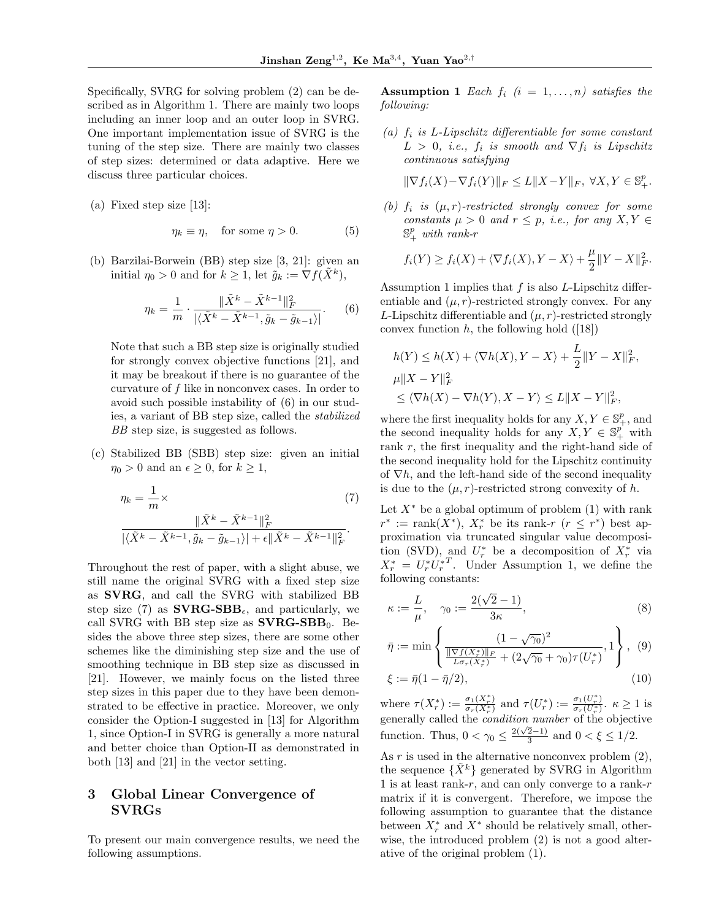Specifically, SVRG for solving problem (2) can be described as in Algorithm 1. There are mainly two loops including an inner loop and an outer loop in SVRG. One important implementation issue of SVRG is the tuning of the step size. There are mainly two classes of step sizes: determined or data adaptive. Here we discuss three particular choices.

(a) Fixed step size [13]:

$$
\eta_k \equiv \eta, \quad \text{for some } \eta > 0. \tag{5}
$$

(b) Barzilai-Borwein (BB) step size [3, 21]: given an initial  $\eta_0 > 0$  and for  $k \geq 1$ , let  $\tilde{g}_k := \nabla f(\tilde{X}^k)$ ,

$$
\eta_k = \frac{1}{m} \cdot \frac{\|\tilde{X}^k - \tilde{X}^{k-1}\|_F^2}{|\langle \tilde{X}^k - \tilde{X}^{k-1}, \tilde{g}_k - \tilde{g}_{k-1} \rangle|}. \tag{6}
$$

Note that such a BB step size is originally studied for strongly convex objective functions [21], and it may be breakout if there is no guarantee of the curvature of  $f$  like in nonconvex cases. In order to avoid such possible instability of (6) in our studies, a variant of BB step size, called the stabilized BB step size, is suggested as follows.

(c) Stabilized BB (SBB) step size: given an initial  $\eta_0 > 0$  and an  $\epsilon \geq 0$ , for  $k \geq 1$ ,

$$
\eta_k = \frac{1}{m} \times \frac{\|\tilde{X}^k - \tilde{X}^{k-1}\|_F^2}{\|\langle \tilde{X}^k - \tilde{X}^{k-1}, \tilde{g}_k - \tilde{g}_{k-1}\rangle\| + \epsilon \|\tilde{X}^k - \tilde{X}^{k-1}\|_F^2}.
$$
\n(7)

Throughout the rest of paper, with a slight abuse, we still name the original SVRG with a fixed step size as SVRG, and call the SVRG with stabilized BB step size (7) as  $\textbf{SVRG-SBB}_{\epsilon}$ , and particularly, we call SVRG with BB step size as  $\text{SVRG-SBB}_0$ . Besides the above three step sizes, there are some other schemes like the diminishing step size and the use of smoothing technique in BB step size as discussed in [21]. However, we mainly focus on the listed three step sizes in this paper due to they have been demonstrated to be effective in practice. Moreover, we only consider the Option-I suggested in [13] for Algorithm 1, since Option-I in SVRG is generally a more natural and better choice than Option-II as demonstrated in both [13] and [21] in the vector setting.

## 3 Global Linear Convergence of SVRGs

To present our main convergence results, we need the following assumptions.

**Assumption 1** Each  $f_i$   $(i = 1, \ldots, n)$  satisfies the following:

(a)  $f_i$  is L-Lipschitz differentiable for some constant  $L > 0$ , i.e.,  $f_i$  is smooth and  $\nabla f_i$  is Lipschitz continuous satisfying

$$
\|\nabla f_i(X) - \nabla f_i(Y)\|_F \le L\|X - Y\|_F, \ \forall X, Y \in \mathbb{S}^p_+.
$$

(b)  $f_i$  is  $(\mu, r)$ -restricted strongly convex for some constants  $\mu > 0$  and  $r \leq p$ , i.e., for any  $X, Y \in$  $\mathbb{S}^p_+$  with rank-r

$$
f_i(Y) \ge f_i(X) + \langle \nabla f_i(X), Y - X \rangle + \frac{\mu}{2} ||Y - X||_F^2.
$$

Assumption 1 implies that  $f$  is also  $L$ -Lipschitz differentiable and  $(\mu, r)$ -restricted strongly convex. For any L-Lipschitz differentiable and  $(\mu, r)$ -restricted strongly convex function  $h$ , the following hold  $([18])$ 

$$
h(Y) \le h(X) + \langle \nabla h(X), Y - X \rangle + \frac{L}{2} ||Y - X||_F^2,
$$
  

$$
\mu ||X - Y||_F^2
$$
  

$$
\le \langle \nabla h(X) - \nabla h(Y), X - Y \rangle \le L ||X - Y||_F^2,
$$

where the first inequality holds for any  $X, Y \in \mathbb{S}^p_+$ , and the second inequality holds for any  $X, Y \in \mathbb{S}^p_+$  with rank  $r$ , the first inequality and the right-hand side of the second inequality hold for the Lipschitz continuity of  $\nabla h$ , and the left-hand side of the second inequality is due to the  $(\mu, r)$ -restricted strong convexity of h.

Let  $X^*$  be a global optimum of problem (1) with rank  $r^* := \text{rank}(X^*), X^*_r$  be its rank- $r$   $(r \leq r^*)$  best approximation via truncated singular value decomposition (SVD), and  $U_r^*$  be a decomposition of  $X_r^*$  via  $X_r^* = U_r^* U_r^{*T}$ . Under Assumption 1, we define the following constants:

$$
\kappa := \frac{L}{\mu}, \quad \gamma_0 := \frac{2(\sqrt{2} - 1)}{3\kappa},\tag{8}
$$

$$
\bar{\eta} := \min \left\{ \frac{(1 - \sqrt{\gamma_0})^2}{\frac{\|\nabla f(X_r^*)\|_F}{L\sigma_r(X_r^*)} + (2\sqrt{\gamma_0} + \gamma_0)\tau(U_r^*)}, 1 \right\}, (9)
$$

$$
\xi := \bar{\eta}(1 - \bar{\eta}/2),\tag{10}
$$

where  $\tau(X_r^*) := \frac{\sigma_1(X_r^*)}{\sigma_r(X_r^*)}$  $\frac{\sigma_1(X_r^*)}{\sigma_r(X_r^*)}$  and  $\tau(U_r^*) := \frac{\sigma_1(U_r^*)}{\sigma_r(U_r^*)}$  $\frac{\sigma_1(U_r)}{\sigma_r(U_r^*)}$ .  $\kappa \ge 1$  is generally called the condition number of the objective function. Thus,  $0 < \gamma_0 \leq \frac{2(\sqrt{2}-1)}{3}$  $\frac{2-1}{3}$  and  $0 < \xi \leq 1/2$ .

As  $r$  is used in the alternative nonconvex problem  $(2)$ , the sequence  $\{\hat{X}^k\}$  generated by SVRG in Algorithm 1 is at least rank-r, and can only converge to a rank-r matrix if it is convergent. Therefore, we impose the following assumption to guarantee that the distance between  $X_r^*$  and  $X^*$  should be relatively small, otherwise, the introduced problem (2) is not a good alterative of the original problem (1).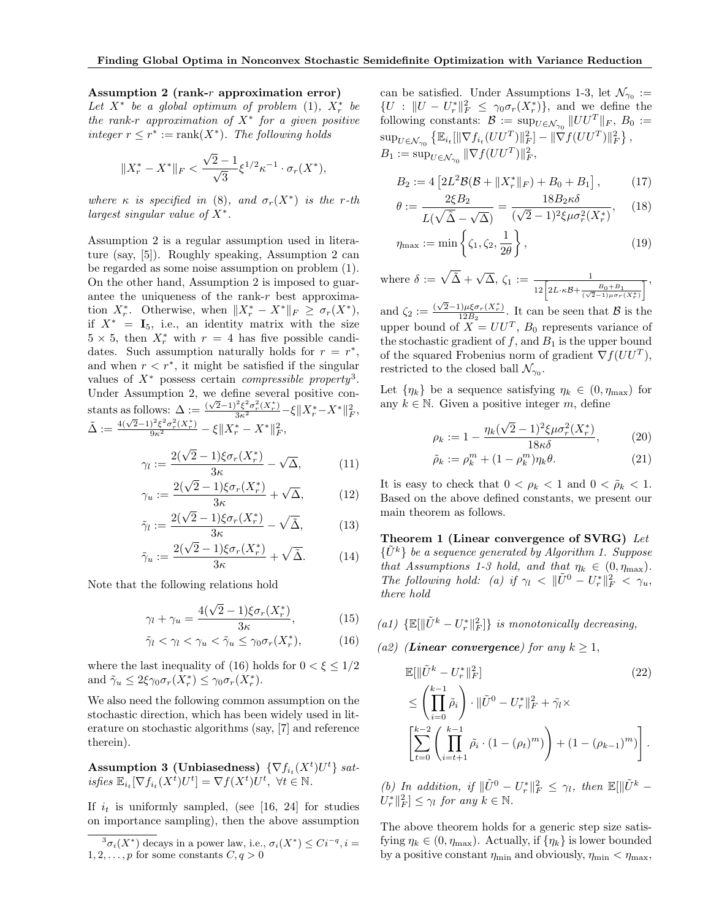#### Assumption 2 (rank-r approximation error)

Let  $X^*$  be a global optimum of problem (1),  $X^*_r$  be the rank-r approximation of  $X^*$  for a given positive integer  $r \leq r^* := \text{rank}(X^*)$ . The following holds

$$
||X_r^* - X^*||_F < \frac{\sqrt{2} - 1}{\sqrt{3}} \xi^{1/2} \kappa^{-1} \cdot \sigma_r(X^*),
$$

where  $\kappa$  is specified in (8), and  $\sigma_r(X^*)$  is the r-th largest singular value of  $X^*$ .

Assumption 2 is a regular assumption used in literature (say, [5]). Roughly speaking, Assumption 2 can be regarded as some noise assumption on problem (1). On the other hand, Assumption 2 is imposed to guarantee the uniqueness of the rank- $r$  best approximation  $X_r^*$ . Otherwise, when  $||X_r^* - X^*||_F \ge \sigma_r(X^*),$ if  $X^* = I_5$ , i.e., an identity matrix with the size  $5 \times 5$ , then  $X^*_r$  with  $r = 4$  has five possible candidates. Such assumption naturally holds for  $r = r^*$ , and when  $r < r^*$ , it might be satisfied if the singular values of  $X^*$  possess certain *compressible property*<sup>3</sup>. Under Assumption 2, we define several positive constants as follows:  $\Delta := \frac{(\sqrt{2}-1)^2 \xi^2 \sigma_r^2(X_r^*)}{3\kappa^2} - \xi \|X_r^* - X^*\|_F^2$  $\tilde{\Delta} := \frac{4(\sqrt{2}-1)^2 \xi^2 \sigma_r^2(X_r^*)}{9 \kappa^2} - \xi \| X_r^* - X^* \|_F^2,$ 

$$
\gamma_l := \frac{2(\sqrt{2}-1)\xi\sigma_r(X_r^*)}{3\kappa} - \sqrt{\Delta},\tag{11}
$$

$$
\gamma_u := \frac{2(\sqrt{2}-1)\xi\sigma_r(X_r^*)}{3\kappa} + \sqrt{\Delta},\tag{12}
$$

$$
\tilde{\gamma}_l := \frac{2(\sqrt{2}-1)\xi \sigma_r(X_r^*)}{3\kappa} - \sqrt{\tilde{\Delta}},\tag{13}
$$

$$
\tilde{\gamma}_u := \frac{2(\sqrt{2}-1)\xi \sigma_r(X_r^*)}{3\kappa} + \sqrt{\tilde{\Delta}}.\tag{14}
$$

Note that the following relations hold

$$
\gamma_l + \gamma_u = \frac{4(\sqrt{2} - 1)\xi \sigma_r(X_r^*)}{3\kappa},\tag{15}
$$

$$
\tilde{\gamma}_l < \gamma_l < \gamma_u < \tilde{\gamma}_u \le \gamma_0 \sigma_r(X_r^*),\tag{16}
$$

where the last inequality of (16) holds for  $0 < \xi \leq 1/2$ and  $\tilde{\gamma}_u \leq 2\xi \gamma_0 \sigma_r(X_r^*) \leq \gamma_0 \sigma_r(X_r^*)$ .

We also need the following common assumption on the stochastic direction, which has been widely used in literature on stochastic algorithms (say, [7] and reference therein).

**Assumption 3 (Unbiasedness)** 
$$
\{\nabla f_{i_t}(X^t)U^t\}
$$
 *sat-  
isfies*  $\mathbb{E}_{i_t}[\nabla f_{i_t}(X^t)U^t] = \nabla f(X^t)U^t$ ,  $\forall t \in \mathbb{N}$ .

If  $i_t$  is uniformly sampled, (see [16, 24] for studies on importance sampling), then the above assumption can be satisfied. Under Assumptions 1-3, let  $\mathcal{N}_{\gamma_0} :=$  ${U : ||U - U_r^*||_F^2 \leq \gamma_0 \sigma_r(X_r^*)},$  and we define the following constants:  $\mathcal{B} := \sup_{U \in \mathcal{N}_{\gamma_0}} ||UU^T||_F, B_0 :=$  $\sup_{U \in \mathcal{N}_{\gamma_0}} \left\{ \mathbb{E}_{i_t} [\|\nabla f_{i_t}(UU^T)\|_F^2] - \|\nabla f(UU^T)\|_F^2 \right\},$  $B_1 := \sup_{U \in \mathcal{N}_{\gamma_0}} \|\nabla f(UU^T)\|_F^2,$ 

$$
B_2 := 4 \left[ 2L^2 \mathcal{B}(\mathcal{B} + \|X_r^*\|_F) + B_0 + B_1 \right],\tag{17}
$$

$$
\theta := \frac{2\xi B_2}{L(\sqrt{\tilde{\Delta}} - \sqrt{\Delta})} = \frac{18B_2\kappa\delta}{(\sqrt{2} - 1)^2 \xi \mu \sigma_r^2(X_r^*)},\tag{18}
$$

$$
\eta_{\max} := \min\left\{\zeta_1, \zeta_2, \frac{1}{2\theta}\right\},\tag{19}
$$

where  $\delta := \sqrt{\tilde{\Delta}} + \sqrt{\Delta}, \zeta_1 := \frac{1}{12 \left[ 2L \cdot \kappa \mathcal{B} + \frac{B_0 + B_1}{(\sqrt{2}-1)\mu \sigma_T(X_r^*)} \right]},$ √

and  $\zeta_2 := \frac{(\sqrt{2}-1)\mu \xi \sigma_r(X_r^*)}{12B_2}$  $\frac{1}{12B_2}$ . It can be seen that  $\beta$  is the upper bound of  $X = U U^T$ ,  $B_0$  represents variance of the stochastic gradient of  $f$ , and  $B_1$  is the upper bound of the squared Frobenius norm of gradient  $\nabla f(UU^T)$ , restricted to the closed ball  $\mathcal{N}_{\gamma_0}$ .

Let  $\{\eta_k\}$  be a sequence satisfying  $\eta_k \in (0, \eta_{\text{max}})$  for any  $k \in \mathbb{N}$ . Given a positive integer m, define

$$
\rho_k := 1 - \frac{\eta_k(\sqrt{2} - 1)^2 \xi \mu \sigma_r^2(X_r^*)}{18\kappa \delta},
$$
\n(20)

$$
\tilde{\rho}_k := \rho_k^m + (1 - \rho_k^m)\eta_k \theta. \tag{21}
$$

It is easy to check that  $0 < \rho_k < 1$  and  $0 < \tilde{\rho}_k < 1$ . Based on the above defined constants, we present our main theorem as follows.

Theorem 1 (Linear convergence of SVRG) Let  $\{U^k\}$  be a sequence generated by Algorithm 1. Suppose that Assumptions 1-3 hold, and that  $\eta_k \in (0, \eta_{\text{max}})$ . The following hold: (a) if  $\gamma_l \langle \mathbf{W} | \tilde{U}^0 - U_r^* | \mathbf{W} | \tilde{K} \rangle \langle \gamma_u, \mathbf{W} \rangle$ there hold

- (a1)  $\{\mathbb{E}[\|\tilde{U}^k U_r^*\|_F^2]\}$  is monotonically decreasing,
- (a2) (Linear convergence) for any  $k \geq 1$ ,

$$
\mathbb{E}[\|\tilde{U}^{k} - U_{r}^{*}\|_{F}^{2}]
$$
\n
$$
\leq \left(\prod_{i=0}^{k-1} \tilde{\rho}_{i}\right) \cdot \|\tilde{U}^{0} - U_{r}^{*}\|_{F}^{2} + \tilde{\gamma}_{l} \times
$$
\n
$$
\left[\sum_{t=0}^{k-2} \left(\prod_{i=t+1}^{k-1} \tilde{\rho}_{i} \cdot (1 - (\rho_{t})^{m})\right) + (1 - (\rho_{k-1})^{m})\right].
$$
\n(22)

(b) In addition, if  $\|\tilde{U}^0 - U_r^*\|_F^2 \leq \gamma_l$ , then  $\mathbb{E}[\|\tilde{U}^k U_r^* \|_F^2 \leq \gamma_l$  for any  $k \in \mathbb{N}$ .

The above theorem holds for a generic step size satisfying  $\eta_k \in (0, \eta_{\text{max}})$ . Actually, if  $\{\eta_k\}$  is lower bounded by a positive constant  $\eta_{\min}$  and obviously,  $\eta_{\min} < \eta_{\max}$ ,

 ${}^3\sigma_i(X^*)$  decays in a power law, i.e.,  $\sigma_i(X^*) \leq Ci^{-q}, i =$  $1, 2, \ldots, p$  for some constants  $C, q > 0$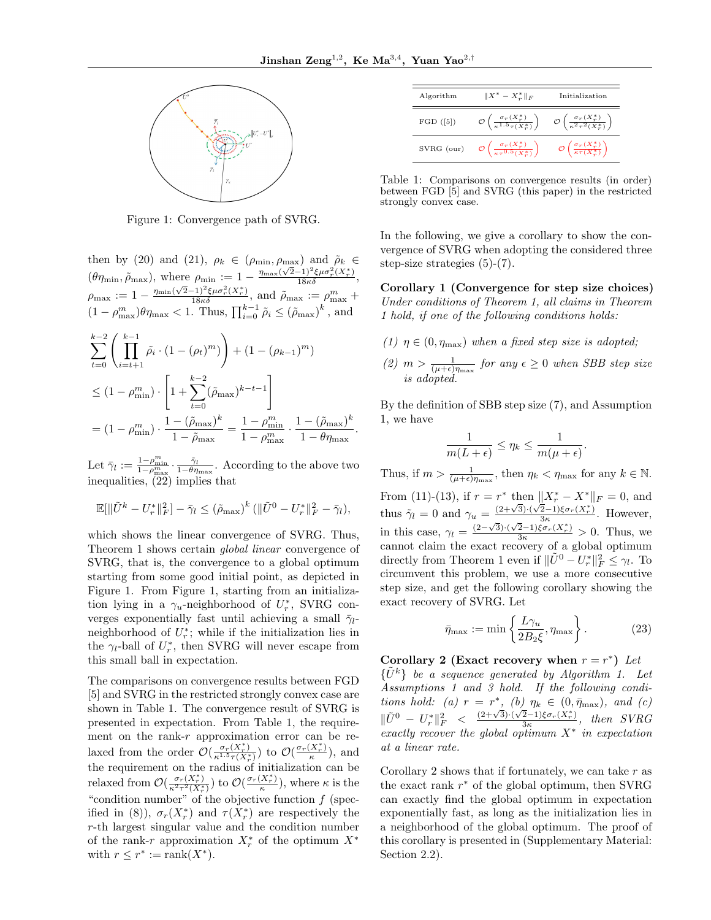.



Figure 1: Convergence path of SVRG.

then by (20) and (21),  $\rho_k \in (\rho_{\min}, \rho_{\max})$  and  $\tilde{\rho}_k \in$ ( $\theta\eta_{\min}, \tilde{\rho}_{\max}$ ), where  $\rho_{\min} := 1 - \frac{\eta_{\max}(\sqrt{2}-1)^2 \xi \mu \sigma_r^2(X_r^*)}{18\kappa \delta},$  $\rho_{\text{max}} := 1 - \frac{\eta_{\text{min}}(\sqrt{2}-1)^2 \xi \mu \sigma_r^2(X_r^*)}{18\kappa \delta}, \text{ and } \tilde{\rho}_{\text{max}} := \rho_{\text{max}}^m +$  $(1 - \rho_{\text{max}}^m)\theta\eta_{\text{max}} < 1$ . Thus,  $\prod_{i=0}^{k-1} \tilde{\rho}_i \leq (\tilde{\rho}_{\text{max}})^k$ , and

$$
\sum_{t=0}^{k-2} \left( \prod_{i=t+1}^{k-1} \tilde{\rho}_i \cdot (1 - (\rho_t)^m) \right) + (1 - (\rho_{k-1})^m)
$$
  
\n
$$
\leq (1 - \rho_{\min}^m) \cdot \left[ 1 + \sum_{t=0}^{k-2} (\tilde{\rho}_{\max})^{k-t-1} \right]
$$
  
\n
$$
= (1 - \rho_{\min}^m) \cdot \frac{1 - (\tilde{\rho}_{\max})^k}{1 - \tilde{\rho}_{\max}} = \frac{1 - \rho_{\min}^m}{1 - \rho_{\max}^m} \cdot \frac{1 - (\tilde{\rho}_{\max})^k}{1 - \theta \eta_{\max}}
$$

Let  $\bar{\gamma}_l := \frac{1-\rho_{\min}^m}{1-\rho_{\max}^m} \cdot \frac{\tilde{\gamma}_l}{1-\theta\eta_{\max}}$ . According to the above two inequalities, (22) implies that

$$
\mathbb{E}[\|\tilde{U}^{k} - U^{*}_{r}\|_{F}^{2}] - \bar{\gamma}_{l} \leq (\tilde{\rho}_{\max})^{k} (\|\tilde{U}^{0} - U^{*}_{r}\|_{F}^{2} - \bar{\gamma}_{l}),
$$

which shows the linear convergence of SVRG. Thus, Theorem 1 shows certain global linear convergence of SVRG, that is, the convergence to a global optimum starting from some good initial point, as depicted in Figure 1. From Figure 1, starting from an initialization lying in a  $\gamma_u$ -neighborhood of  $U_r^*$ , SVRG converges exponentially fast until achieving a small  $\bar{\gamma}_l$ neighborhood of  $U_r^*$ ; while if the initialization lies in the  $\gamma_l$ -ball of  $U_r^*$ , then SVRG will never escape from this small ball in expectation.

The comparisons on convergence results between FGD [5] and SVRG in the restricted strongly convex case are shown in Table 1. The convergence result of SVRG is presented in expectation. From Table 1, the requirement on the rank-r approximation error can be relaxed from the order  $\mathcal{O}(\frac{\sigma_r(X_r^*)}{r^{1.5}\tau(X^*)^2})$  $\frac{\sigma_r(X_r^*)}{\kappa^{1.5}\tau(X_r^*)}$ ) to  $\mathcal{O}(\frac{\sigma_r(X_r^*)}{\kappa})$ the requirement on the radius of initialization can be  $\frac{A_r}{\kappa}$ ), and relaxed from  $\mathcal{O}(\frac{\sigma_r(X_r^*)}{\kappa^2 \tau^2 (X^*)^2})$  $\frac{\sigma_r(X_r^*)}{\kappa^2 \tau^2(X_r^*)}$ ) to  $\mathcal{O}\left(\frac{\sigma_r(X_r^*)}{\kappa}\right)$  $\frac{(\Lambda_r)}{\kappa}$ , where  $\kappa$  is the "condition number" of the objective function  $f$  (specified in (8)),  $\sigma_r(X_r^*)$  and  $\tau(X_r^*)$  are respectively the r-th largest singular value and the condition number of the rank-r approximation  $X_r^*$  of the optimum  $X^*$ with  $r \leq r^* := \text{rank}(X^*)$ .

| Algorithm  | $  X^* - X^*_{r}  _F$                                                      | Initialization                                                           |
|------------|----------------------------------------------------------------------------|--------------------------------------------------------------------------|
| FGD([5])   | $\mathcal{O}\left(\frac{\sigma_r(X_r^*)}{\kappa^{1.5}\tau(X_r^*)}\right)$  | $\mathcal{O}\left(\frac{\sigma_r(X_r^*)}{\kappa^2 \tau^2(X_r^*)}\right)$ |
| SVRG (our) | $\mathcal{O}\left(\frac{\sigma_r(X_r^*)}{\kappa \tau^{0.5}(X_r^*)}\right)$ | $\mathcal{O}\left(\frac{\sigma_r(X_r^*)}{\kappa\tau(X_n^*)}\right)$      |

Table 1: Comparisons on convergence results (in order) between FGD [5] and SVRG (this paper) in the restricted strongly convex case.

In the following, we give a corollary to show the convergence of SVRG when adopting the considered three step-size strategies (5)-(7).

Corollary 1 (Convergence for step size choices) Under conditions of Theorem 1, all claims in Theorem 1 hold, if one of the following conditions holds:

- (1)  $\eta \in (0, \eta_{\text{max}})$  when a fixed step size is adopted;
- (2)  $m > \frac{1}{(\mu + \epsilon)\eta_{\text{max}}}$  for any  $\epsilon \geq 0$  when SBB step size is adopted.

By the definition of SBB step size (7), and Assumption 1, we have

$$
\frac{1}{m(L+\epsilon)} \leq \eta_k \leq \frac{1}{m(\mu+\epsilon)}.
$$

Thus, if  $m > \frac{1}{(\mu + \epsilon)\eta_{\max}}$ , then  $\eta_k < \eta_{\max}$  for any  $k \in \mathbb{N}$ . From (11)-(13), if  $r = r^*$  then  $||X_r^* - X^*||_F = 0$ , and thus  $\tilde{\gamma}_l = 0$  and  $\gamma_u = \frac{(2+\sqrt{3})\cdot(\sqrt{2}-1)\xi\sigma_r(X_r^*)}{3\kappa}$  $\frac{2-1}{3\kappa} \frac{\sigma_r(\Lambda_r)}{2\kappa}$ . However, in this case,  $\gamma_l = \frac{(2-\sqrt{3})\cdot(\sqrt{2}-1)\xi\sigma_r(X_r^*)}{3\kappa} > 0$ . Thus, we cannot claim the exact recovery of a global optimum directly from Theorem 1 even if  $\|\tilde{U}^0 - U_r^*\|_F^2 \leq \gamma_l$ . To circumvent this problem, we use a more consecutive step size, and get the following corollary showing the exact recovery of SVRG. Let

$$
\bar{\eta}_{\max} := \min\left\{\frac{L\gamma_u}{2B_2\xi}, \eta_{\max}\right\}.
$$
 (23)

Corollary 2 (Exact recovery when  $r = r^*$ ) Let  $\{U^k\}$  be a sequence generated by Algorithm 1. Let Assumptions 1 and 3 hold. If the following conditions hold: (a)  $r = r^*$ , (b)  $\eta_k \in (0, \bar{\eta}_{\text{max}})$ , and (c)  $\|\tilde{U}^0 - U_r^*\|_F^2 < \frac{(2+\sqrt{3})\cdot(\sqrt{2}-1)\xi\sigma_r(X_r^*)}{3\kappa}$  $\frac{2-1)\xi\sigma_r(\Lambda_r)}{3\kappa}$ , then SVRG exactly recover the global optimum  $X^*$  in expectation at a linear rate.

Corollary 2 shows that if fortunately, we can take  $r$  as the exact rank  $r^*$  of the global optimum, then SVRG can exactly find the global optimum in expectation exponentially fast, as long as the initialization lies in a neighborhood of the global optimum. The proof of this corollary is presented in (Supplementary Material: Section 2.2).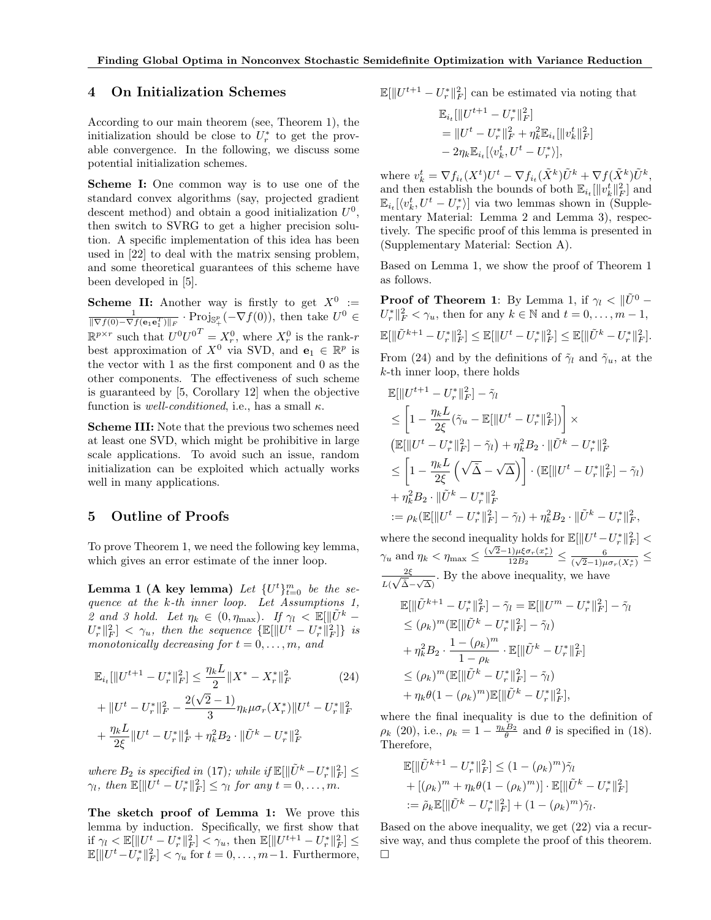#### 4 On Initialization Schemes

According to our main theorem (see, Theorem 1), the initialization should be close to  $U_r^*$  to get the provable convergence. In the following, we discuss some potential initialization schemes.

Scheme I: One common way is to use one of the standard convex algorithms (say, projected gradient descent method) and obtain a good initialization  $U^0$ , then switch to SVRG to get a higher precision solution. A specific implementation of this idea has been used in [22] to deal with the matrix sensing problem, and some theoretical guarantees of this scheme have been developed in [5].

**Scheme II:** Another way is firstly to get  $X^0 :=$  $\frac{1}{\|\nabla f(0) - \nabla f(\mathbf{e}_1 \mathbf{e}_1^T)\|_F} \cdot \text{Proj}_{\mathbb{S}^p_+}(-\nabla f(0)), \text{ then take } U^0 \in$  $\mathbb{R}^{p \times r}$  such that  $U^0 U^{0^T} = X_r^0$ , where  $X_r^0$  is the rank-r best approximation of  $X^0$  via SVD, and  $\mathbf{e}_1 \in \mathbb{R}^p$  is the vector with 1 as the first component and 0 as the other components. The effectiveness of such scheme is guaranteed by [5, Corollary 12] when the objective function is *well-conditioned*, i.e., has a small  $\kappa$ .

Scheme III: Note that the previous two schemes need at least one SVD, which might be prohibitive in large scale applications. To avoid such an issue, random initialization can be exploited which actually works well in many applications.

## 5 Outline of Proofs

To prove Theorem 1, we need the following key lemma, which gives an error estimate of the inner loop.

**Lemma 1 (A key lemma)** Let  $\{U^t\}_{t=0}^m$  be the sequence at the k-th inner loop. Let Assumptions 1, 2 and 3 hold. Let  $\eta_k \in (0, \eta_{\text{max}})$ . If  $\gamma_l \leq \mathbb{E}[\Vert U^k \|U_r^*\|_F^2\| < \gamma_u$ , then the sequence  $\{\mathbb{E}[\|U^t-U_r^*\|_F^2]\}\;$  is monotonically decreasing for  $t = 0, \ldots, m$ , and

$$
\mathbb{E}_{i_t}[\|U^{t+1} - U_r^*\|_F^2] \le \frac{\eta_k L}{2} \|X^* - X_r^*\|_F^2
$$
\n
$$
\|U_t^* - U_r^*\|_F^2 \le 2(\sqrt{2} - 1)
$$
\n
$$
\|U_t^* - U_r^*\|_F^2 \le 2(\sqrt{2} - 1)
$$
\n
$$
\|U_t^* - U_r^*\|_F^2 \le 2(\sqrt{2} - 1)
$$

+ 
$$
||U^t - U_r^*||_F^2 - \frac{2(\sqrt{2}-1)}{3} \eta_k \mu \sigma_r(X_r^*)||U^t - U_r^*||_F^2
$$
  
+  $\frac{\eta_k L}{2\xi}||U^t - U_r^*||_F^4 + \eta_k^2 B_2 \cdot ||\tilde{U}^k - U_r^*||_F^2$ 

where  $B_2$  is specified in (17); while if  $\mathbb{E}[\|\tilde{U}^k - U_r^*\|_F^2] \leq$  $\gamma_l$ , then  $\mathbb{E}[\Vert U^t - U^*_r \Vert_F^2] \leq \gamma_l$  for any  $t = 0, \ldots, m$ .

The sketch proof of Lemma 1: We prove this lemma by induction. Specifically, we first show that if  $\gamma_l \langle \mathbb{E}[\|U^t - U^*_r\|_F^2] \langle \gamma_u, \text{ then } \mathbb{E}[\|U^{t+1} - U^*_r\|_F^2] \leq$  $\mathbb{E}[\|U^t - \overline{U_r^*}\|_F^2] < \gamma_u$  for  $t = 0, \ldots, m-1$ . Furthermore,

$$
\mathbb{E}[\|U^{t+1}-U_r^*\|_F^2]
$$
 can be estimated via noting that

$$
\mathbb{E}_{i_t}[\|U^{t+1} - U_r^*\|_F^2]
$$
  
= 
$$
\|U^t - U_r^*\|_F^2 + \eta_k^2 \mathbb{E}_{i_t}[\|v_k^t\|_F^2]
$$
  
- 
$$
2\eta_k \mathbb{E}_{i_t}[\langle v_k^t, U^t - U_r^* \rangle],
$$

where  $v_k^t = \nabla f_{i_t}(X^t)U^t - \nabla f_{i_t}(\tilde{X}^k)\tilde{U}^k + \nabla f(\tilde{X}^k)\tilde{U}^k$ , and then establish the bounds of both  $\mathbb{E}_{i_t}[\Vert v^t_k \Vert_F^2]$  and  $\mathbb{E}_{i_t}[\langle v_k^t, U^t - U_r^* \rangle]$  via two lemmas shown in (Supplementary Material: Lemma 2 and Lemma 3), respectively. The specific proof of this lemma is presented in (Supplementary Material: Section A).

Based on Lemma 1, we show the proof of Theorem 1 as follows.

**Proof of Theorem 1:** By Lemma 1, if  $\gamma_l < ||\tilde{U}^0$  –  $U_r^* \|_F^2 < \gamma_u$ , then for any  $k \in \mathbb{N}$  and  $t = 0, \ldots, m - 1$ ,  $\mathbb{E}[\|\tilde{U}^{k+1} - U_r^*\|_F^2] \leq \mathbb{E}[\|U^t - U_r^*\|_F^2] \leq \mathbb{E}[\|\tilde{U}^k - U_r^*\|_F^2].$ 

From (24) and by the definitions of  $\tilde{\gamma}_l$  and  $\tilde{\gamma}_u$ , at the k-th inner loop, there holds

$$
\mathbb{E}[\|U^{t+1} - U_r^*\|_F^2] - \tilde{\gamma}_l
$$
\n
$$
\leq \left[1 - \frac{\eta_k L}{2\xi} (\tilde{\gamma}_u - \mathbb{E}[\|U^t - U_r^*\|_F^2])\right] \times
$$
\n
$$
\left(\mathbb{E}[\|U^t - U_r^*\|_F^2] - \tilde{\gamma}_l\right) + \eta_k^2 B_2 \cdot \|\tilde{U}^k - U_r^*\|_F^2
$$
\n
$$
\leq \left[1 - \frac{\eta_k L}{2\xi} \left(\sqrt{\tilde{\Delta}} - \sqrt{\Delta}\right)\right] \cdot \left(\mathbb{E}[\|U^t - U_r^*\|_F^2] - \tilde{\gamma}_l\right)
$$
\n
$$
+ \eta_k^2 B_2 \cdot \|\tilde{U}^k - U_r^*\|_F^2
$$
\n
$$
:= \rho_k (\mathbb{E}[\|U^t - U_r^*\|_F^2] - \tilde{\gamma}_l) + \eta_k^2 B_2 \cdot \|\tilde{U}^k - U_r^*\|_F^2,
$$

where the second inequality holds for  $\mathbb{E}[\|U^t-U^*_r\|_F^2]<$ where the second mequantly notes  $\gamma_u$  and  $\eta_k < \eta_{\text{max}} \leq \frac{(\sqrt{2}-1)\mu\xi\sigma_r(x_r^*)}{12B_2}$  $\frac{1)\mu\xi\sigma_r(x_r^*)}{12B_2} \leq \frac{6}{(\sqrt{2}-1)\mu}$  $\frac{6}{(\sqrt{2}-1)\mu\sigma_r(X_r^*)} \leq$ 2ξ  $\frac{2\xi}{L(\sqrt{\tilde{\Delta}}-\sqrt{\Delta})}$ . By the above inequality, we have  $\mathbb{E}[\|\tilde{U}^{k+1} - U_r^*\|_F^2] - \tilde{\gamma}_l = \mathbb{E}[\|U^m - U_r^*\|_F^2] - \tilde{\gamma}_l$ 

$$
\leq (\rho_k)^m (\mathbb{E}[\|\tilde{U}^k - U_r^*\|_F^2] - \tilde{\gamma}_l) + \eta_k^2 B_2 \cdot \frac{1 - (\rho_k)^m}{1 - \rho_k} \cdot \mathbb{E}[\|\tilde{U}^k - U_r^*\|_F^2] \leq (\rho_k)^m (\mathbb{E}[\|\tilde{U}^k - U_r^*\|_F^2] - \tilde{\gamma}_l) + \eta_k \theta (1 - (\rho_k)^m) \mathbb{E}[\|\tilde{U}^k - U_r^*\|_F^2],
$$

where the final inequality is due to the definition of  $\rho_k$  (20), i.e.,  $\rho_k = 1 - \frac{\eta_k B_2}{\theta}$  and  $\theta$  is specified in (18). Therefore,

$$
\mathbb{E}[\|\tilde{U}^{k+1} - U_r^*\|_F^2] \le (1 - (\rho_k)^m)\tilde{\gamma}_l \n+ [(\rho_k)^m + \eta_k \theta (1 - (\rho_k)^m)] \cdot \mathbb{E}[\|\tilde{U}^k - U_r^*\|_F^2] \n:= \tilde{\rho}_k \mathbb{E}[\|\tilde{U}^k - U_r^*\|_F^2] + (1 - (\rho_k)^m)\tilde{\gamma}_l.
$$

Based on the above inequality, we get (22) via a recursive way, and thus complete the proof of this theorem.  $\Box$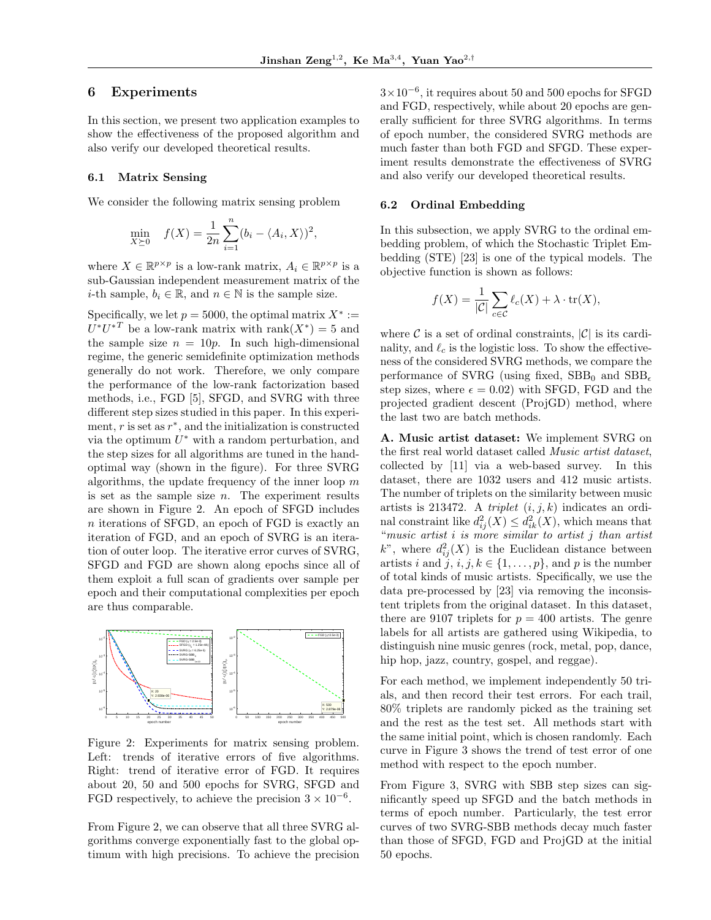# 6 Experiments

In this section, we present two application examples to show the effectiveness of the proposed algorithm and also verify our developed theoretical results.

#### 6.1 Matrix Sensing

We consider the following matrix sensing problem

$$
\min_{X \succeq 0} \quad f(X) = \frac{1}{2n} \sum_{i=1}^{n} (b_i - \langle A_i, X \rangle)^2,
$$

where  $X \in \mathbb{R}^{p \times p}$  is a low-rank matrix,  $A_i \in \mathbb{R}^{p \times p}$  is a sub-Gaussian independent measurement matrix of the *i*-th sample,  $b_i \in \mathbb{R}$ , and  $n \in \mathbb{N}$  is the sample size.

Specifically, we let  $p = 5000$ , the optimal matrix  $X^* :=$  $U^*U^{*T}$  be a low-rank matrix with rank $(X^*)=5$  and the sample size  $n = 10p$ . In such high-dimensional regime, the generic semidefinite optimization methods generally do not work. Therefore, we only compare the performance of the low-rank factorization based methods, i.e., FGD [5], SFGD, and SVRG with three different step sizes studied in this paper. In this experiment,  $r$  is set as  $r^*$ , and the initialization is constructed via the optimum  $U^*$  with a random perturbation, and the step sizes for all algorithms are tuned in the handoptimal way (shown in the figure). For three SVRG algorithms, the update frequency of the inner loop  $m$ is set as the sample size  $n$ . The experiment results are shown in Figure 2. An epoch of SFGD includes n iterations of SFGD, an epoch of FGD is exactly an iteration of FGD, and an epoch of SVRG is an iteration of outer loop. The iterative error curves of SVRG, SFGD and FGD are shown along epochs since all of them exploit a full scan of gradients over sample per epoch and their computational complexities per epoch are thus comparable.



Figure 2: Experiments for matrix sensing problem. Left: trends of iterative errors of five algorithms. Right: trend of iterative error of FGD. It requires about 20, 50 and 500 epochs for SVRG, SFGD and FGD respectively, to achieve the precision  $3 \times 10^{-6}$ .

From Figure 2, we can observe that all three SVRG algorithms converge exponentially fast to the global optimum with high precisions. To achieve the precision

3×10−<sup>6</sup> , it requires about 50 and 500 epochs for SFGD and FGD, respectively, while about 20 epochs are generally sufficient for three SVRG algorithms. In terms of epoch number, the considered SVRG methods are much faster than both FGD and SFGD. These experiment results demonstrate the effectiveness of SVRG and also verify our developed theoretical results.

#### 6.2 Ordinal Embedding

In this subsection, we apply SVRG to the ordinal embedding problem, of which the Stochastic Triplet Embedding (STE) [23] is one of the typical models. The objective function is shown as follows:

$$
f(X) = \frac{1}{|\mathcal{C}|} \sum_{c \in \mathcal{C}} \ell_c(X) + \lambda \cdot \text{tr}(X),
$$

where  $\mathcal C$  is a set of ordinal constraints,  $|\mathcal C|$  is its cardinality, and  $\ell_c$  is the logistic loss. To show the effectiveness of the considered SVRG methods, we compare the performance of SVRG (using fixed,  $SBB_0$  and  $SBB_\epsilon$ step sizes, where  $\epsilon = 0.02$ ) with SFGD, FGD and the projected gradient descent (ProjGD) method, where the last two are batch methods.

A. Music artist dataset: We implement SVRG on the first real world dataset called Music artist dataset, collected by [11] via a web-based survey. In this dataset, there are 1032 users and 412 music artists. The number of triplets on the similarity between music artists is 213472. A *triplet*  $(i, j, k)$  indicates an ordinal constraint like  $d_{ij}^2(X) \leq d_{ik}^2(X)$ , which means that "music artist i is more similar to artist j than artist k", where  $d_{ij}^2(X)$  is the Euclidean distance between artists i and j,  $i, j, k \in \{1, \ldots, p\}$ , and p is the number of total kinds of music artists. Specifically, we use the data pre-processed by [23] via removing the inconsistent triplets from the original dataset. In this dataset, there are 9107 triplets for  $p = 400$  artists. The genre labels for all artists are gathered using Wikipedia, to distinguish nine music genres (rock, metal, pop, dance, hip hop, jazz, country, gospel, and reggae).

For each method, we implement independently 50 trials, and then record their test errors. For each trail, 80% triplets are randomly picked as the training set and the rest as the test set. All methods start with the same initial point, which is chosen randomly. Each curve in Figure 3 shows the trend of test error of one method with respect to the epoch number.

From Figure 3, SVRG with SBB step sizes can significantly speed up SFGD and the batch methods in terms of epoch number. Particularly, the test error curves of two SVRG-SBB methods decay much faster than those of SFGD, FGD and ProjGD at the initial 50 epochs.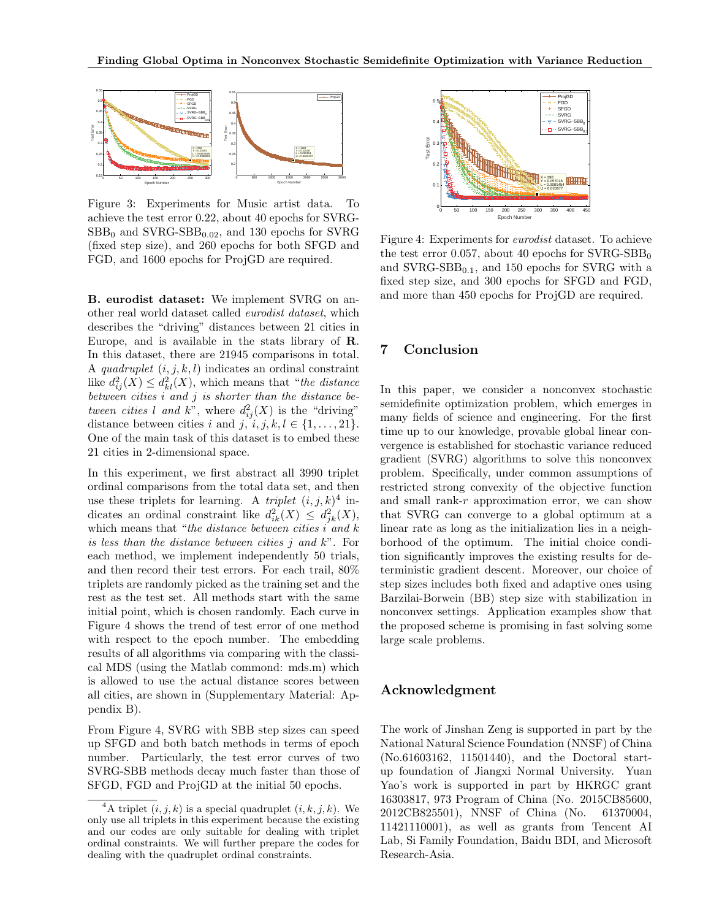

Figure 3: Experiments for Music artist data. To achieve the test error 0.22, about 40 epochs for SVRG- $SBB<sub>0</sub>$  and  $SVRG-SBB<sub>0.02</sub>$ , and 130 epochs for SVRG (fixed step size), and 260 epochs for both SFGD and FGD, and 1600 epochs for ProjGD are required.

B. eurodist dataset: We implement SVRG on another real world dataset called eurodist dataset, which describes the "driving" distances between 21 cities in Europe, and is available in the stats library of R. In this dataset, there are 21945 comparisons in total. A quadruplet  $(i, j, k, l)$  indicates an ordinal constraint like  $d_{ij}^2(X) \leq d_{kl}^2(X)$ , which means that "the distance" between cities i and j is shorter than the distance between cities l and k", where  $d_{ij}^2(X)$  is the "driving" distance between cities i and j,  $i, j, k, l \in \{1, \ldots, 21\}.$ One of the main task of this dataset is to embed these 21 cities in 2-dimensional space.

In this experiment, we first abstract all 3990 triplet ordinal comparisons from the total data set, and then use these triplets for learning. A *triplet*  $(i, j, k)^4$  indicates an ordinal constraint like  $d_{ik}^2(X) \leq d_{jk}^2(X)$ , which means that "the distance between cities  $i$  and  $k$ is less than the distance between cities  $j$  and  $k$ ". For each method, we implement independently 50 trials, and then record their test errors. For each trail, 80% triplets are randomly picked as the training set and the rest as the test set. All methods start with the same initial point, which is chosen randomly. Each curve in Figure 4 shows the trend of test error of one method with respect to the epoch number. The embedding results of all algorithms via comparing with the classical MDS (using the Matlab commond: mds.m) which is allowed to use the actual distance scores between all cities, are shown in (Supplementary Material: Appendix B).

From Figure 4, SVRG with SBB step sizes can speed up SFGD and both batch methods in terms of epoch number. Particularly, the test error curves of two SVRG-SBB methods decay much faster than those of SFGD, FGD and ProjGD at the initial 50 epochs.



Figure 4: Experiments for eurodist dataset. To achieve the test error 0.057, about 40 epochs for  $\text{SVRG-SBB}_0$ and  $\text{SVRG-SBB}_{0.1}$ , and 150 epochs for SVRG with a fixed step size, and 300 epochs for SFGD and FGD, and more than 450 epochs for ProjGD are required.

#### 7 Conclusion

In this paper, we consider a nonconvex stochastic semidefinite optimization problem, which emerges in many fields of science and engineering. For the first time up to our knowledge, provable global linear convergence is established for stochastic variance reduced gradient (SVRG) algorithms to solve this nonconvex problem. Specifically, under common assumptions of restricted strong convexity of the objective function and small rank-r approximation error, we can show that SVRG can converge to a global optimum at a linear rate as long as the initialization lies in a neighborhood of the optimum. The initial choice condition significantly improves the existing results for deterministic gradient descent. Moreover, our choice of step sizes includes both fixed and adaptive ones using Barzilai-Borwein (BB) step size with stabilization in nonconvex settings. Application examples show that the proposed scheme is promising in fast solving some large scale problems.

## Acknowledgment

The work of Jinshan Zeng is supported in part by the National Natural Science Foundation (NNSF) of China (No.61603162, 11501440), and the Doctoral startup foundation of Jiangxi Normal University. Yuan Yao's work is supported in part by HKRGC grant 16303817, 973 Program of China (No. 2015CB85600, 2012CB825501), NNSF of China (No. 61370004, 11421110001), as well as grants from Tencent AI Lab, Si Family Foundation, Baidu BDI, and Microsoft Research-Asia.

<sup>&</sup>lt;sup>4</sup>A triplet  $(i, j, k)$  is a special quadruplet  $(i, k, j, k)$ . We only use all triplets in this experiment because the existing and our codes are only suitable for dealing with triplet ordinal constraints. We will further prepare the codes for dealing with the quadruplet ordinal constraints.